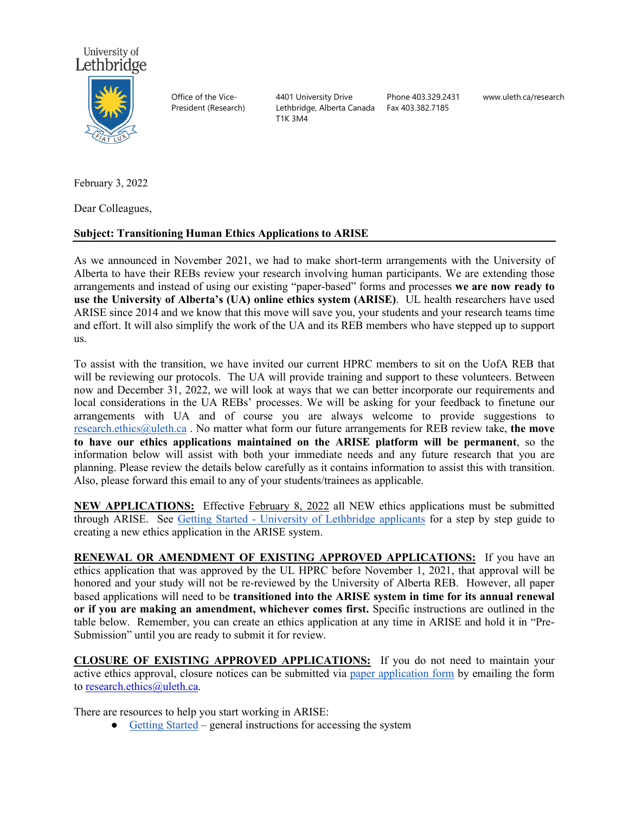

Office of the Vice-President (Research) 4401 University Drive Lethbridge, Alberta Canada T1K 3M4

Phone 403.329.2431 Fax 403.382.7185

www.uleth.ca/research

February 3, 2022

Dear Colleagues,

## **Subject: Transitioning Human Ethics Applications to ARISE**

As we announced in November 2021, we had to make short-term arrangements with the University of Alberta to have their REBs review your research involving human participants. We are extending those arrangements and instead of using our existing "paper-based" forms and processes **we are now ready to use the University of Alberta's (UA) online ethics system (ARISE)**. UL health researchers have used ARISE since 2014 and we know that this move will save you, your students and your research teams time and effort. It will also simplify the work of the UA and its REB members who have stepped up to support us.

To assist with the transition, we have invited our current HPRC members to sit on the UofA REB that will be reviewing our protocols. The UA will provide training and support to these volunteers. Between now and December 31, 2022, we will look at ways that we can better incorporate our requirements and local considerations in the UA REBs' processes. We will be asking for your feedback to finetune our arrangements with UA and of course you are always welcome to provide suggestions to [research.ethics@uleth.ca](mailto:research.ethics@uleth.ca) . No matter what form our future arrangements for REB review take, **the move to have our ethics applications maintained on the ARISE platform will be permanent**, so the information below will assist with both your immediate needs and any future research that you are planning. Please review the details below carefully as it contains information to assist this with transition. Also, please forward this email to any of your students/trainees as applicable.

**NEW APPLICATIONS:** Effective February 8, 2022 all NEW ethics applications must be submitted through ARISE. See Getting Started - [University of Lethbridge applicants](https://docs.google.com/document/d/1kLxnwBT7hC4G3DTPfg8FOeiIGkb3XKQhZdBxqw6AgoI/) for a step by step guide to creating a new ethics application in the ARISE system.

**RENEWAL OR AMENDMENT OF EXISTING APPROVED APPLICATIONS:** If you have an ethics application that was approved by the UL HPRC before November 1, 2021, that approval will be honored and your study will not be re-reviewed by the University of Alberta REB. However, all paper based applications will need to be **transitioned into the ARISE system in time for its annual renewal or if you are making an amendment, whichever comes first.** Specific instructions are outlined in the table below. Remember, you can create an ethics application at any time in ARISE and hold it in "Pre-Submission" until you are ready to submit it for review.

**CLOSURE OF EXISTING APPROVED APPLICATIONS:** If you do not need to maintain your active ethics approval, closure notices can be submitted via [paper application form](https://uleth.sharepoint.com/:w:/s/extranet/research-services/ETTJ5YcmA0RPhWOqh--6N7IBJhcRbSEpC_ygALupdxviuQ?e=t7vWbb) by emailing the form to [research.ethics@uleth.ca.](mailto:research.ethics@uleth.ca)

There are resources to help you start working in ARISE:

• [Getting Started](https://www.ualberta.ca/research/research-support/research-ethics-office/support/getting-started.html#external) – general instructions for accessing the system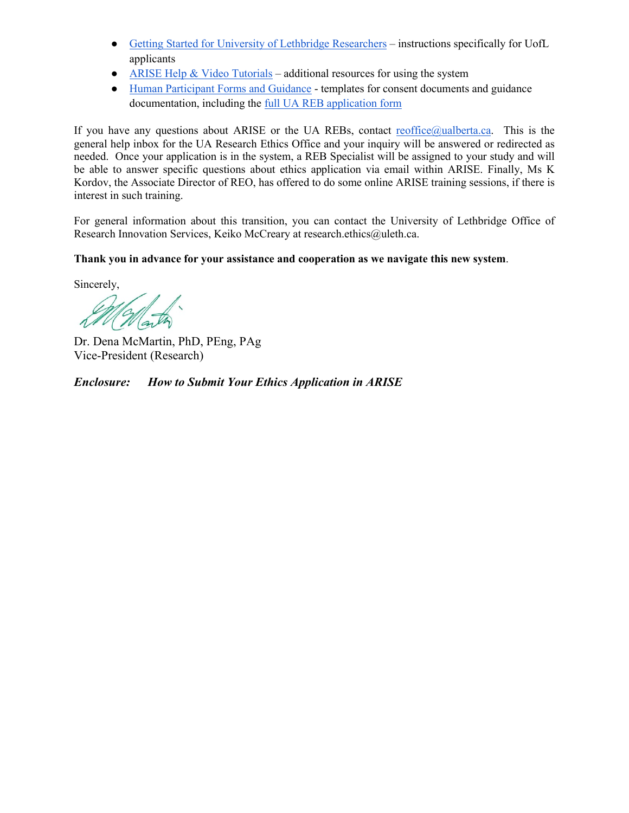- [Getting Started for University of Lethbridge Researchers](https://docs.google.com/document/d/1kLxnwBT7hC4G3DTPfg8FOeiIGkb3XKQhZdBxqw6AgoI/edit) instructions specifically for UofL applicants
- ARISE Help  $& Video Tutorials additional resources for using the system$
- [Human Participant Forms and Guidance](https://www.ualberta.ca/research/research-support/research-ethics-office/forms-cabinet/forms-human.html) templates for consent documents and guidance documentation, including the [full UA REB application form](https://www.ualberta.ca/research/media-library/reo/human-ethics-files/forms-files/human-application-form-sample_2021.pdf)

If you have any questions about ARISE or the UA REBs, contact  $reoffice@ualberta.ca.$  This is the general help inbox for the UA Research Ethics Office and your inquiry will be answered or redirected as needed. Once your application is in the system, a REB Specialist will be assigned to your study and will be able to answer specific questions about ethics application via email within ARISE. Finally, Ms K Kordov, the Associate Director of REO, has offered to do some online ARISE training sessions, if there is interest in such training.

For general information about this transition, you can contact the University of Lethbridge Office of Research Innovation Services, Keiko McCreary at research.ethics@uleth.ca.

**Thank you in advance for your assistance and cooperation as we navigate this new system**.

Sincerely,

ath

Dr. Dena McMartin, PhD, PEng, PAg Vice-President (Research)

*Enclosure: How to Submit Your Ethics Application in ARISE*